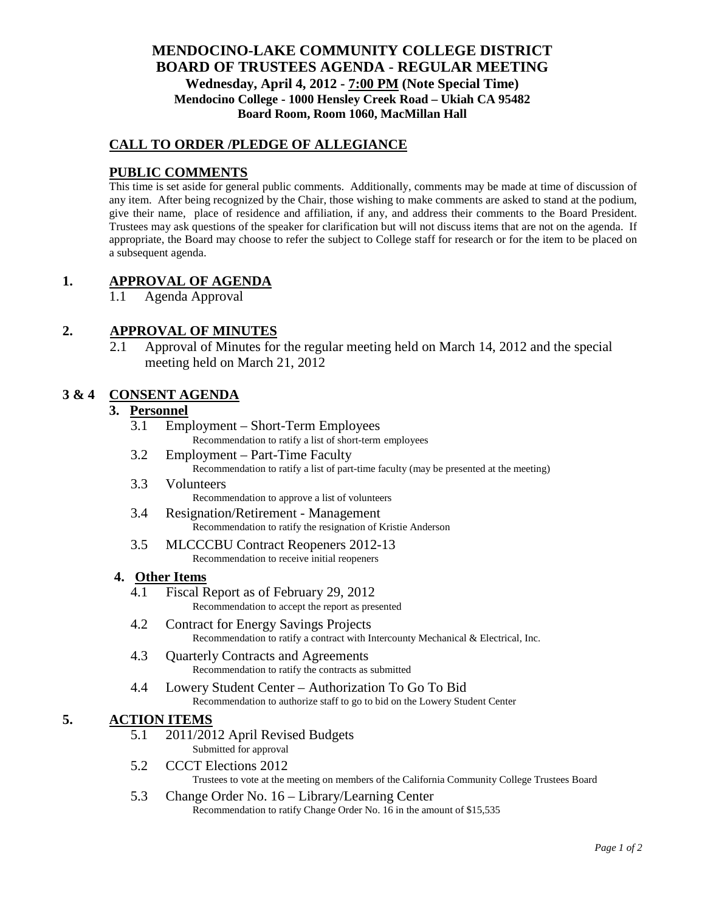# **MENDOCINO-LAKE COMMUNITY COLLEGE DISTRICT BOARD OF TRUSTEES AGENDA** - **REGULAR MEETING Wednesday, April 4, 2012 - 7:00 PM (Note Special Time) Mendocino College - 1000 Hensley Creek Road – Ukiah CA 95482 Board Room, Room 1060, MacMillan Hall**

## **CALL TO ORDER /PLEDGE OF ALLEGIANCE**

## **PUBLIC COMMENTS**

This time is set aside for general public comments. Additionally, comments may be made at time of discussion of any item. After being recognized by the Chair, those wishing to make comments are asked to stand at the podium, give their name, place of residence and affiliation, if any, and address their comments to the Board President. Trustees may ask questions of the speaker for clarification but will not discuss items that are not on the agenda. If appropriate, the Board may choose to refer the subject to College staff for research or for the item to be placed on a subsequent agenda.

### **1. APPROVAL OF AGENDA**

1.1 Agenda Approval

### **2. APPROVAL OF MINUTES**

2.1 Approval of Minutes for the regular meeting held on March 14, 2012 and the special meeting held on March 21, 2012

### **3 & 4 CONSENT AGENDA**

### **3. Personnel**

- 3.1 Employment Short-Term Employees Recommendation to ratify a list of short-term employees
- 3.2 Employment Part-Time Faculty Recommendation to ratify a list of part-time faculty (may be presented at the meeting)
- 3.3 Volunteers Recommendation to approve a list of volunteers
- 3.4 Resignation/Retirement Management Recommendation to ratify the resignation of Kristie Anderson
- 3.5 MLCCCBU Contract Reopeners 2012-13 Recommendation to receive initial reopeners

#### **4. Other Items**

- 4.1 Fiscal Report as of February 29, 2012 Recommendation to accept the report as presented
- 4.2 Contract for Energy Savings Projects Recommendation to ratify a contract with Intercounty Mechanical & Electrical, Inc.
- 4.3 Quarterly Contracts and Agreements Recommendation to ratify the contracts as submitted
- 4.4 Lowery Student Center Authorization To Go To Bid Recommendation to authorize staff to go to bid on the Lowery Student Center

#### **5. ACTION ITEMS**

- 5.1 2011/2012 April Revised Budgets
	- Submitted for approval
- 5.2 CCCT Elections 2012 Trustees to vote at the meeting on members of the California Community College Trustees Board
- 5.3 Change Order No. 16 Library/Learning Center Recommendation to ratify Change Order No. 16 in the amount of \$15,535